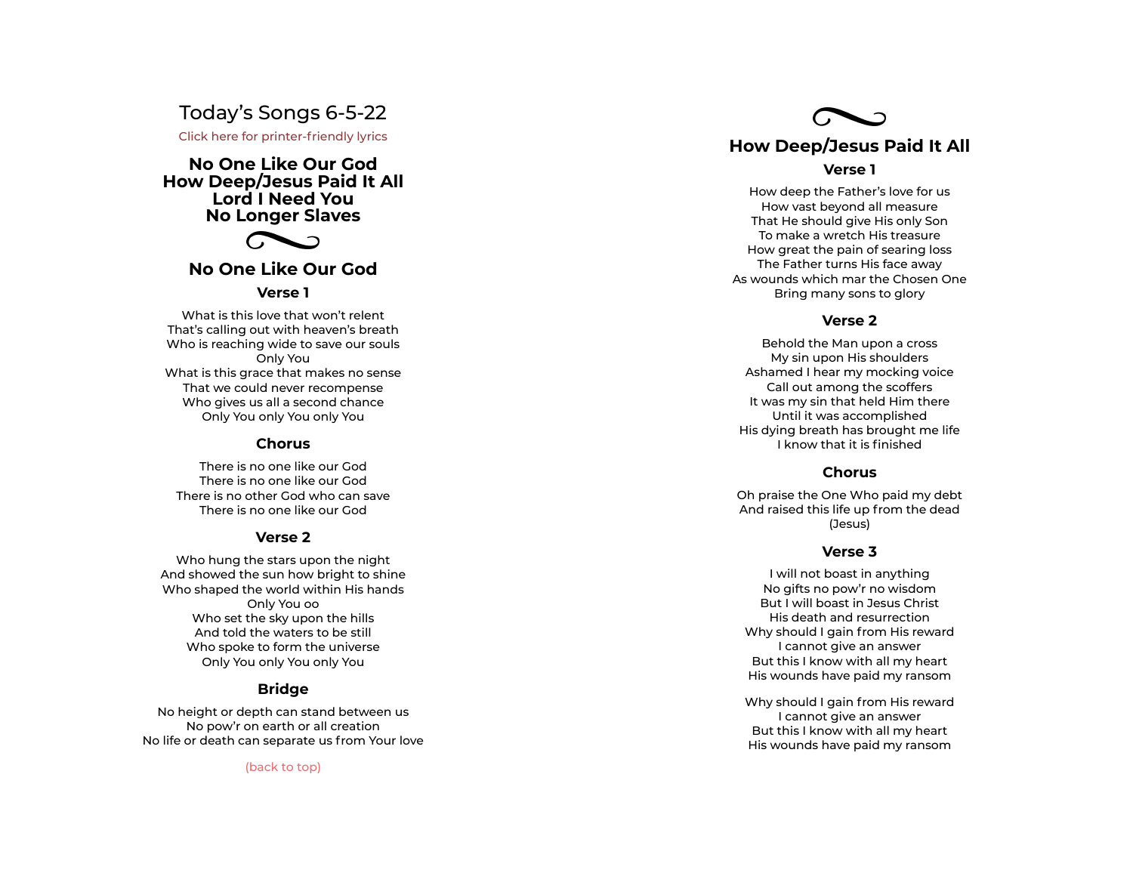# Today's Songs 6-5-22

Click here for printer-friendly lyrics

**No One Like Our God How Deep/Jesus Paid It All Lord I Need You No Longer Slaves**



## **No One Like Our God**

## **Verse 1**

What is this love that won't relent That's calling out with heaven's breath Who is reaching wide to save our souls Only You What is this grace that makes no sense That we could never recompense Who gives us all a second chance Only You only You only You

## **Chorus**

There is no one like our God There is no one like our God There is no other God who can save There is no one like our God

#### **Verse 2**

Who hung the stars upon the night And showed the sun how bright to shine Who shaped the world within His hands Only You oo Who set the sky upon the hills And told the waters to be still Who spoke to form the universe Only You only You only You

## **Bridge**

No height or depth can stand between us No pow'r on earth or all creation No life or death can separate us from Your love

(back to top)



#### **Verse 1**

How deep the Father's love for us How vast beyond all measure That He should give His only Son To make a wretch His treasure How great the pain of searing loss The Father turns His face away As wounds which mar the Chosen One Bring many sons to glory

## **Verse 2**

Behold the Man upon a cross My sin upon His shoulders Ashamed I hear my mocking voice Call out among the scoffers It was my sin that held Him there Until it was accomplished His dying breath has brought me life<br>I know that it is finished Verse 2<br>Behold the Man upon a cros<br>My sin upon His shoulders<br>Ashamed I hear my mocking ve<br>Call out among the scoffers<br>It was my sin that held Him th<br>Until it was accomplished<br>His dying breath has brought m

## **Chorus**

Oh praise the One Who paid my debt And raised this life up from the dead (Jesus)

#### **Verse 3**

I will not boast in anything No gifts no pow'r no wisdom But I will boast in Jesus Christ His death and resurrection Why should I gain from His reward I cannot give an answer But this I know with all my heart His wounds have paid my ransom

Why should I gain from His reward I cannot give an answer But this I know with all my heart His wounds have paid my ransom